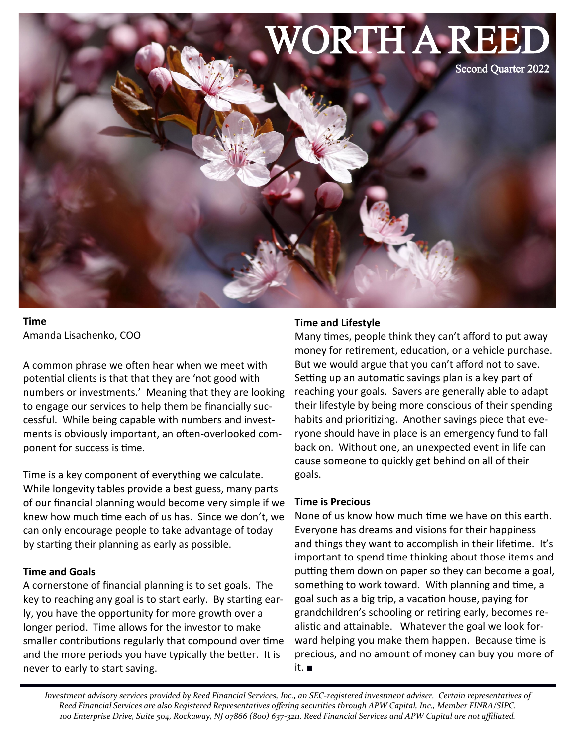

**Time** Amanda Lisachenko, COO

A common phrase we often hear when we meet with potential clients is that that they are 'not good with numbers or investments.' Meaning that they are looking to engage our services to help them be financially successful. While being capable with numbers and investments is obviously important, an often-overlooked component for success is time.

Time is a key component of everything we calculate. While longevity tables provide a best guess, many parts of our financial planning would become very simple if we knew how much time each of us has. Since we don't, we can only encourage people to take advantage of today by starting their planning as early as possible.

### **Time and Goals**

A cornerstone of financial planning is to set goals. The key to reaching any goal is to start early. By starting early, you have the opportunity for more growth over a longer period. Time allows for the investor to make smaller contributions regularly that compound over time and the more periods you have typically the better. It is never to early to start saving.

#### **Time and Lifestyle**

Many times, people think they can't afford to put away money for retirement, education, or a vehicle purchase. But we would argue that you can't afford not to save. Setting up an automatic savings plan is a key part of reaching your goals. Savers are generally able to adapt their lifestyle by being more conscious of their spending habits and prioritizing. Another savings piece that everyone should have in place is an emergency fund to fall back on. Without one, an unexpected event in life can cause someone to quickly get behind on all of their goals.

#### **Time is Precious**

None of us know how much time we have on this earth. Everyone has dreams and visions for their happiness and things they want to accomplish in their lifetime. It's important to spend time thinking about those items and putting them down on paper so they can become a goal, something to work toward. With planning and time, a goal such as a big trip, a vacation house, paying for grandchildren's schooling or retiring early, becomes realistic and attainable. Whatever the goal we look forward helping you make them happen. Because time is precious, and no amount of money can buy you more of it. ■

*Investment advisory services provided by Reed Financial Services, Inc., an SEC-registered investment adviser. Certain representatives of Reed Financial Services are also Registered Representatives offering securities through APW Capital, Inc., Member FINRA/SIPC. 100 Enterprise Drive, Suite 504, Rockaway, NJ 07866 (800) 637-3211. Reed Financial Services and APW Capital are not affiliated.*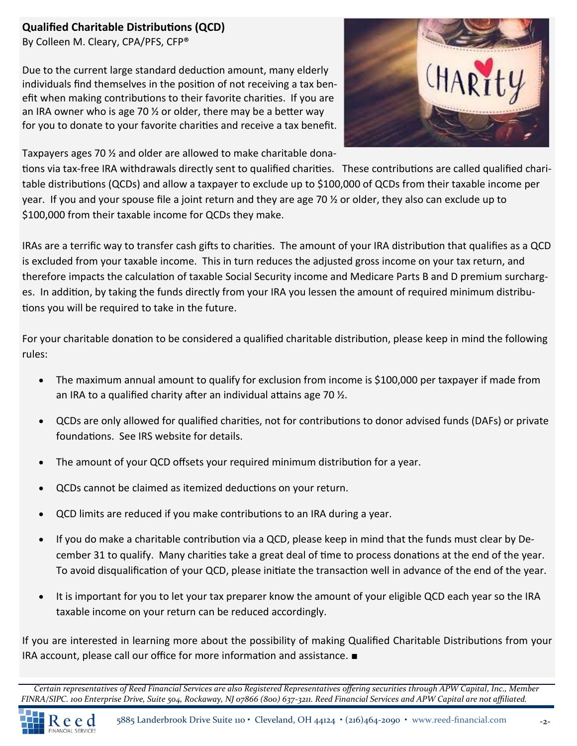## **Qualified Charitable Distributions (QCD)**

By Colleen M. Cleary, CPA/PFS, CFP®

Due to the current large standard deduction amount, many elderly individuals find themselves in the position of not receiving a tax benefit when making contributions to their favorite charities. If you are an IRA owner who is age 70 ½ or older, there may be a better way for you to donate to your favorite charities and receive a tax benefit.



Taxpayers ages 70 ½ and older are allowed to make charitable dona-

tions via tax-free IRA withdrawals directly sent to qualified charities. These contributions are called qualified charitable distributions (QCDs) and allow a taxpayer to exclude up to \$100,000 of QCDs from their taxable income per year. If you and your spouse file a joint return and they are age 70 ½ or older, they also can exclude up to \$100,000 from their taxable income for QCDs they make.

IRAs are a terrific way to transfer cash gifts to charities. The amount of your IRA distribution that qualifies as a QCD is excluded from your taxable income. This in turn reduces the adjusted gross income on your tax return, and therefore impacts the calculation of taxable Social Security income and Medicare Parts B and D premium surcharges. In addition, by taking the funds directly from your IRA you lessen the amount of required minimum distributions you will be required to take in the future.

For your charitable donation to be considered a qualified charitable distribution, please keep in mind the following rules:

- The maximum annual amount to qualify for exclusion from income is \$100,000 per taxpayer if made from an IRA to a qualified charity after an individual attains age 70 ½.
- QCDs are only allowed for qualified charities, not for contributions to donor advised funds (DAFs) or private foundations. See IRS website for details.
- The amount of your QCD offsets your required minimum distribution for a year.
- QCDs cannot be claimed as itemized deductions on your return.
- QCD limits are reduced if you make contributions to an IRA during a year.
- If you do make a charitable contribution via a QCD, please keep in mind that the funds must clear by December 31 to qualify. Many charities take a great deal of time to process donations at the end of the year. To avoid disqualification of your QCD, please initiate the transaction well in advance of the end of the year.
- It is important for you to let your tax preparer know the amount of your eligible QCD each year so the IRA taxable income on your return can be reduced accordingly.

If you are interested in learning more about the possibility of making Qualified Charitable Distributions from your IRA account, please call our office for more information and assistance. ■

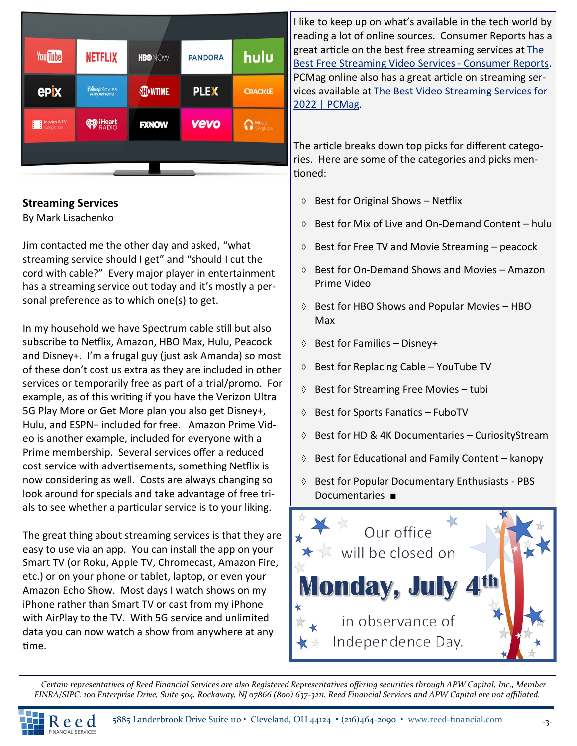| You <b>Tube</b> | <b>NETFLIX</b>                         | <b>HBONOW</b>    | <b>PANDORA</b> | hulu                        |
|-----------------|----------------------------------------|------------------|----------------|-----------------------------|
| epix            | <b>DisvepMovies</b><br><b>Anywhere</b> | <b>SILOWTIME</b> | <b>PLEX</b>    | <b>CRACKLE</b>              |
| Movies & TV     | <b>COD iHeart</b>                      | <b>FXNOW</b>     | <b>vevo</b>    | <b>Music</b><br>Google play |
|                 |                                        |                  |                |                             |

## **Streaming Services**

By Mark Lisachenko

Jim contacted me the other day and asked, "what streaming service should I get" and "should I cut the cord with cable?" Every major player in entertainment has a streaming service out today and it's mostly a personal preference as to which one(s) to get.

In my household we have Spectrum cable still but also subscribe to Netflix, Amazon, HBO Max, Hulu, Peacock and Disney+. I'm a frugal guy (just ask Amanda) so most of these don't cost us extra as they are included in other services or temporarily free as part of a trial/promo. For example, as of this writing if you have the Verizon Ultra 5G Play More or Get More plan you also get Disney+, Hulu, and ESPN+ included for free. Amazon Prime Video is another example, included for everyone with a Prime membership. Several services offer a reduced cost service with advertisements, something Netflix is now considering as well. Costs are always changing so look around for specials and take advantage of free trials to see whether a particular service is to your liking.

The great thing about streaming services is that they are easy to use via an app. You can install the app on your Smart TV (or Roku, Apple TV, Chromecast, Amazon Fire, etc.) or on your phone or tablet, laptop, or even your Amazon Echo Show. Most days I watch shows on my iPhone rather than Smart TV or cast from my iPhone with AirPlay to the TV. With 5G service and unlimited data you can now watch a show from anywhere at any time.

I like to keep up on what's available in the tech world by reading a lot of online sources. Consumer Reports has a great article on the best free streaming services at [The](https://www.consumerreports.org/streaming-media-devices/guide-to-free-streaming-video-services-a1149608760/)  [Best Free Streaming Video Services](https://www.consumerreports.org/streaming-media-devices/guide-to-free-streaming-video-services-a1149608760/) - Consumer Reports. PCMag online also has a great article on streaming services available at [The Best Video Streaming Services for](https://www.pcmag.com/picks/the-best-video-streaming-services?test_uuid=06r4MYCu5PZzCkufjQSV3po&test_variant=a)  [2022 | PCMag.](https://www.pcmag.com/picks/the-best-video-streaming-services?test_uuid=06r4MYCu5PZzCkufjQSV3po&test_variant=a)

The article breaks down top picks for different categories. Here are some of the categories and picks mentioned:

- $\Diamond$  Best for Original Shows Netflix
- $\lozenge$  Best for Mix of Live and On-Demand Content hulu
- $\Diamond$  Best for Free TV and Movie Streaming peacock
- $\lozenge$  Best for On-Demand Shows and Movies Amazon Prime Video
- $\lozenge$  Best for HBO Shows and Popular Movies HBO Max
- $\lozenge$  Best for Families Disney+
- $\Diamond$  Best for Replacing Cable YouTube TV
- $\lozenge$  Best for Streaming Free Movies tubi
- $\Diamond$  Best for Sports Fanatics FuboTV
- $\lozenge$  Best for HD & 4K Documentaries CuriosityStream
- $\lozenge$  Best for Educational and Family Content kanopy
- $\lozenge$  Best for Popular Documentary Enthusiasts PBS Documentaries ■



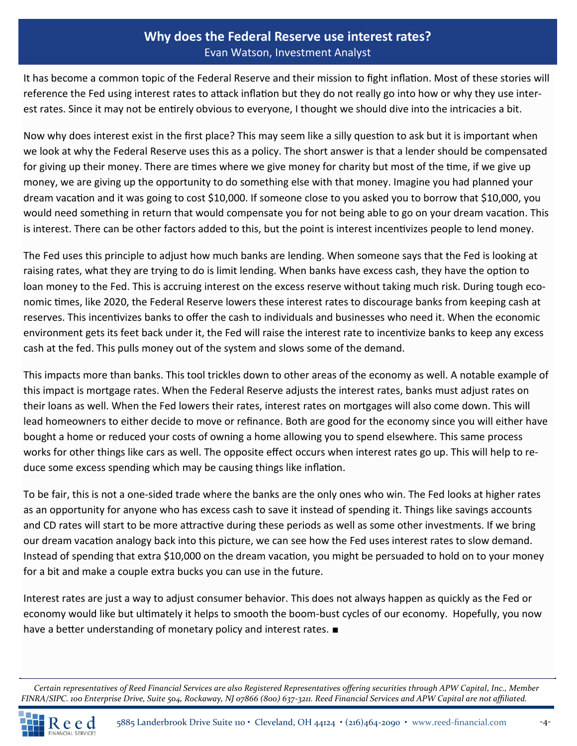# **Why does the Federal Reserve use interest rates?** Evan Watson, Investment Analyst

It has become a common topic of the Federal Reserve and their mission to fight inflation. Most of these stories will reference the Fed using interest rates to attack inflation but they do not really go into how or why they use interest rates. Since it may not be entirely obvious to everyone, I thought we should dive into the intricacies a bit.

Now why does interest exist in the first place? This may seem like a silly question to ask but it is important when we look at why the Federal Reserve uses this as a policy. The short answer is that a lender should be compensated for giving up their money. There are times where we give money for charity but most of the time, if we give up money, we are giving up the opportunity to do something else with that money. Imagine you had planned your dream vacation and it was going to cost \$10,000. If someone close to you asked you to borrow that \$10,000, you would need something in return that would compensate you for not being able to go on your dream vacation. This is interest. There can be other factors added to this, but the point is interest incentivizes people to lend money.

The Fed uses this principle to adjust how much banks are lending. When someone says that the Fed is looking at raising rates, what they are trying to do is limit lending. When banks have excess cash, they have the option to loan money to the Fed. This is accruing interest on the excess reserve without taking much risk. During tough economic times, like 2020, the Federal Reserve lowers these interest rates to discourage banks from keeping cash at reserves. This incentivizes banks to offer the cash to individuals and businesses who need it. When the economic environment gets its feet back under it, the Fed will raise the interest rate to incentivize banks to keep any excess cash at the fed. This pulls money out of the system and slows some of the demand.

This impacts more than banks. This tool trickles down to other areas of the economy as well. A notable example of this impact is mortgage rates. When the Federal Reserve adjusts the interest rates, banks must adjust rates on their loans as well. When the Fed lowers their rates, interest rates on mortgages will also come down. This will lead homeowners to either decide to move or refinance. Both are good for the economy since you will either have bought a home or reduced your costs of owning a home allowing you to spend elsewhere. This same process works for other things like cars as well. The opposite effect occurs when interest rates go up. This will help to reduce some excess spending which may be causing things like inflation.

To be fair, this is not a one-sided trade where the banks are the only ones who win. The Fed looks at higher rates as an opportunity for anyone who has excess cash to save it instead of spending it. Things like savings accounts and CD rates will start to be more attractive during these periods as well as some other investments. If we bring our dream vacation analogy back into this picture, we can see how the Fed uses interest rates to slow demand. Instead of spending that extra \$10,000 on the dream vacation, you might be persuaded to hold on to your money for a bit and make a couple extra bucks you can use in the future.

Interest rates are just a way to adjust consumer behavior. This does not always happen as quickly as the Fed or economy would like but ultimately it helps to smooth the boom-bust cycles of our economy. Hopefully, you now have a better understanding of monetary policy and interest rates. ■

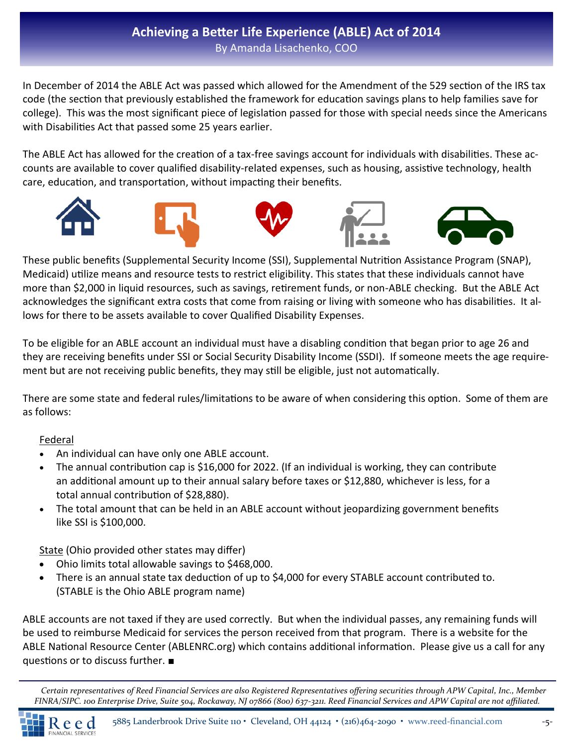# **Achieving a Better Life Experience (ABLE) Act of 2014** By Amanda Lisachenko, COO

In December of 2014 the ABLE Act was passed which allowed for the Amendment of the 529 section of the IRS tax code (the section that previously established the framework for education savings plans to help families save for college). This was the most significant piece of legislation passed for those with special needs since the Americans with Disabilities Act that passed some 25 years earlier.

The ABLE Act has allowed for the creation of a tax-free savings account for individuals with disabilities. These accounts are available to cover qualified disability-related expenses, such as housing, assistive technology, health care, education, and transportation, without impacting their benefits.











These public benefits (Supplemental Security Income (SSI), Supplemental Nutrition Assistance Program (SNAP), Medicaid) utilize means and resource tests to restrict eligibility. This states that these individuals cannot have more than \$2,000 in liquid resources, such as savings, retirement funds, or non-ABLE checking. But the ABLE Act acknowledges the significant extra costs that come from raising or living with someone who has disabilities. It allows for there to be assets available to cover Qualified Disability Expenses.

To be eligible for an ABLE account an individual must have a disabling condition that began prior to age 26 and they are receiving benefits under SSI or Social Security Disability Income (SSDI). If someone meets the age requirement but are not receiving public benefits, they may still be eligible, just not automatically.

There are some state and federal rules/limitations to be aware of when considering this option. Some of them are as follows:

## Federal

- An individual can have only one ABLE account.
- The annual contribution cap is \$16,000 for 2022. (If an individual is working, they can contribute an additional amount up to their annual salary before taxes or \$12,880, whichever is less, for a total annual contribution of \$28,880).
- The total amount that can be held in an ABLE account without jeopardizing government benefits like SSI is \$100,000.

State (Ohio provided other states may differ)

- Ohio limits total allowable savings to \$468,000.
- There is an annual state tax deduction of up to \$4,000 for every STABLE account contributed to. (STABLE is the Ohio ABLE program name)

ABLE accounts are not taxed if they are used correctly. But when the individual passes, any remaining funds will be used to reimburse Medicaid for services the person received from that program. There is a website for the ABLE National Resource Center (ABLENRC.org) which contains additional information. Please give us a call for any questions or to discuss further. ■